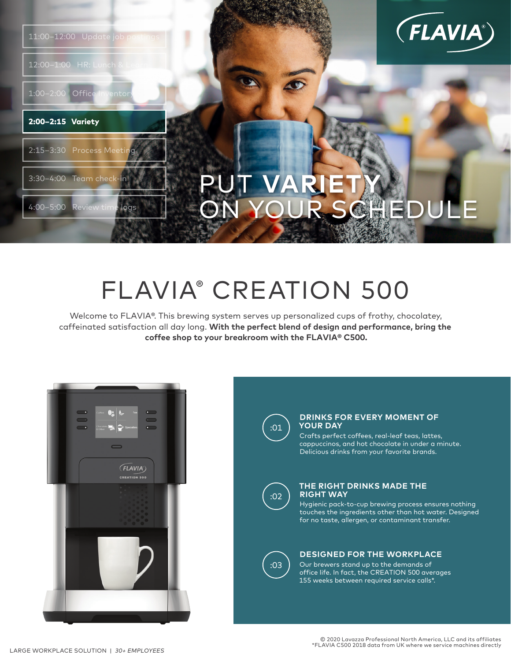

4:00–5:00 Review time logs

3:30–4:00 Team check-in

2:15-3:30 Process Meeti

1:00–2:00 Office Invento

2:00–2:15 Variety

12:00-1:00 HR:



# **PUT VARIE** ON YOUR SCHE

## FLAVIA® CREATION 500

Welcome to FLAVIA®. This brewing system serves up personalized cups of frothy, chocolatey, caffeinated satisfaction all day long. **With the perfect blend of design and performance, bring the coffee shop to your breakroom with the FLAVIA® C500.**